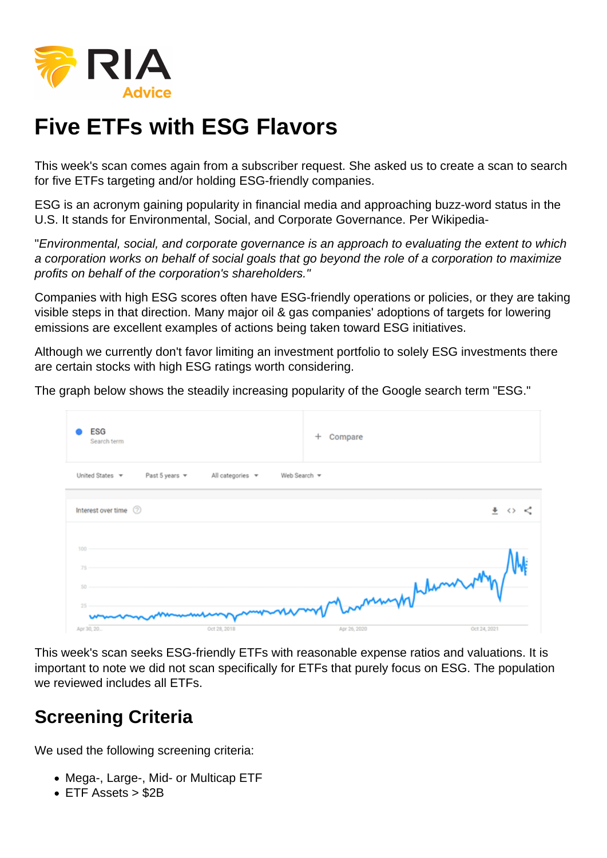# Five ETFs with ESG Flavors

This week's scan comes again from a subscriber request. She asked us to create a scan to search for five ETFs targeting and/or holding ESG-friendly companies.

ESG is an acronym gaining popularity in financial media and approaching buzz-word status in the U.S. It stands for Environmental, Social, and Corporate Governance. Per Wikipedia-

"Environmental, social, and corporate governance is an approach to evaluating the extent to which a corporation works on behalf of social goals that go beyond the role of a corporation to maximize profits on behalf of the corporation's shareholders."

Companies with high ESG scores often have ESG-friendly operations or policies, or they are taking visible steps in that direction. Many major oil & gas companies' adoptions of targets for lowering emissions are excellent examples of actions being taken toward ESG initiatives.

Although we currently don't favor limiting an investment portfolio to solely ESG investments there are certain stocks with high ESG ratings worth considering.

The graph below shows the steadily increasing popularity of the Google search term "ESG."

This week's scan seeks ESG-friendly ETFs with reasonable expense ratios and valuations. It is important to note we did not scan specifically for ETFs that purely focus on ESG. The population we reviewed includes all ETFs.

## Screening Criteria

We used the following screening criteria:

- Mega-, Large-, Mid- or Multicap ETF
- ETF Assets > \$2B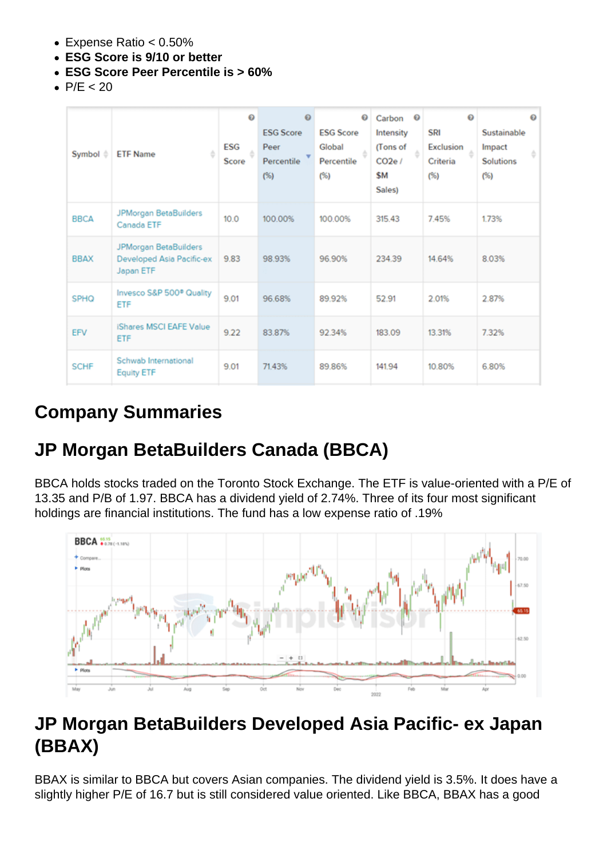- Expense Ratio < 0.50%
- ESG Score is 9/10 or better
- ESG Score Peer Percentile is > 60%
- $\bullet$  P/E < 20

#### Company Summaries

#### JP Morgan BetaBuilders Canada (BBCA)

BBCA holds stocks traded on the Toronto Stock Exchange. The ETF is value-oriented with a P/E of 13.35 and P/B of 1.97. BBCA has a dividend yield of 2.74%. Three of its four most significant holdings are financial institutions. The fund has a low expense ratio of .19%

## JP Morgan BetaBuilders Developed Asia Pacific- ex Japan (BBAX)

BBAX is similar to BBCA but covers Asian companies. The dividend yield is 3.5%. It does have a slightly higher P/E of 16.7 but is still considered value oriented. Like BBCA, BBAX has a good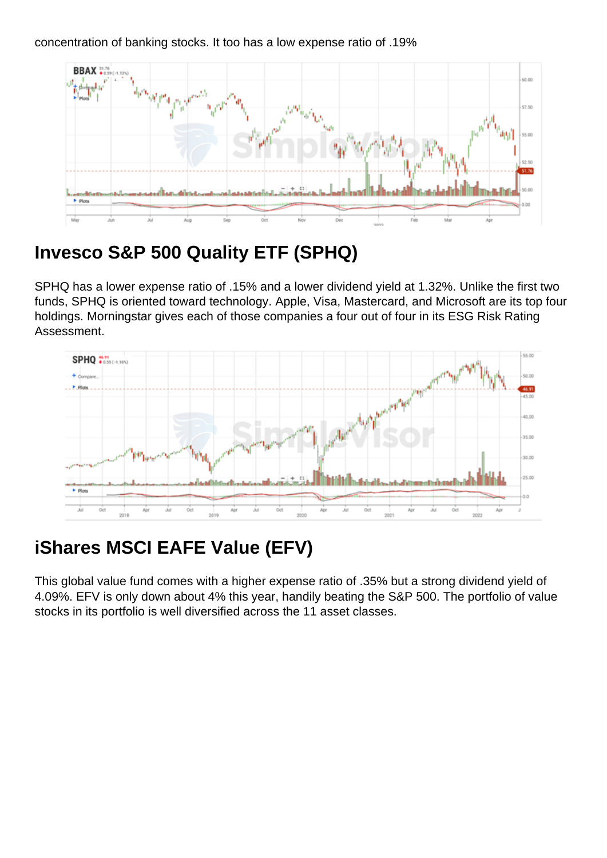# Invesco S&P 500 Quality ETF (SPHQ)

SPHQ has a lower expense ratio of .15% and a lower dividend yield at 1.32%. Unlike the first two funds, SPHQ is oriented toward technology. Apple, Visa, Mastercard, and Microsoft are its top four holdings. Morningstar gives each of those companies a four out of four in its ESG Risk Rating Assessment.

## iShares MSCI EAFE Value (EFV)

This global value fund comes with a higher expense ratio of .35% but a strong dividend yield of 4.09%. EFV is only down about 4% this year, handily beating the S&P 500. The portfolio of value stocks in its portfolio is well diversified across the 11 asset classes.